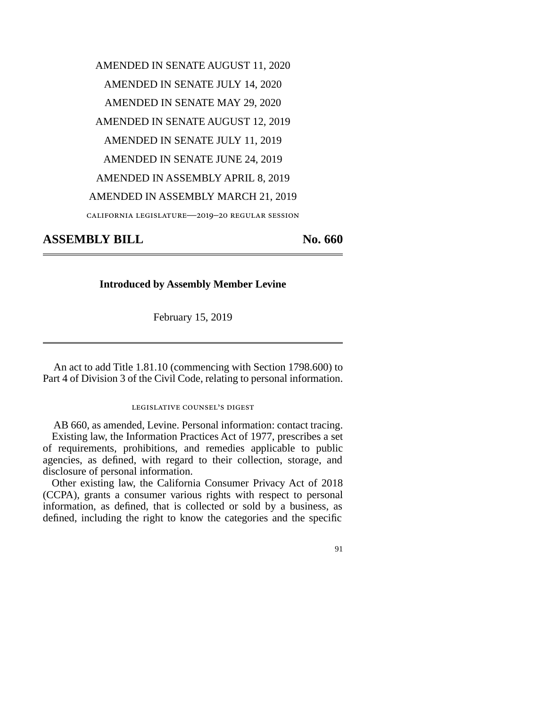AMENDED IN SENATE AUGUST 11, 2020 AMENDED IN SENATE JULY 14, 2020 AMENDED IN SENATE MAY 29, 2020 AMENDED IN SENATE AUGUST 12, 2019 AMENDED IN SENATE JULY 11, 2019 AMENDED IN SENATE JUNE 24, 2019 AMENDED IN ASSEMBLY APRIL 8, 2019 AMENDED IN ASSEMBLY MARCH 21, 2019 california legislature—2019–20 regular session

**ASSEMBLY BILL No. 660** 

## **Introduced by Assembly Member Levine**

February 15, 2019

An act to add Title 1.81.10 (commencing with Section 1798.600) to Part 4 of Division 3 of the Civil Code, relating to personal information.

## legislative counsel's digest

AB 660, as amended, Levine. Personal information: contact tracing. Existing law, the Information Practices Act of 1977, prescribes a set of requirements, prohibitions, and remedies applicable to public agencies, as defined, with regard to their collection, storage, and disclosure of personal information.

Other existing law, the California Consumer Privacy Act of 2018 (CCPA), grants a consumer various rights with respect to personal information, as defined, that is collected or sold by a business, as defined, including the right to know the categories and the specific

91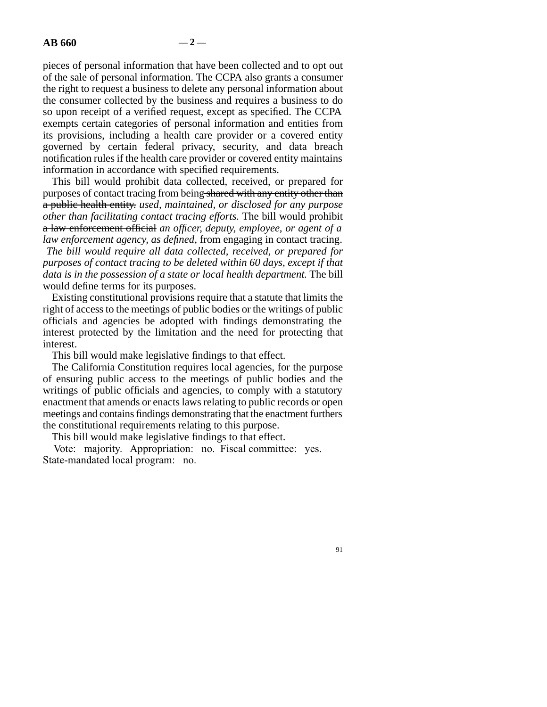pieces of personal information that have been collected and to opt out of the sale of personal information. The CCPA also grants a consumer the right to request a business to delete any personal information about the consumer collected by the business and requires a business to do so upon receipt of a verified request, except as specified. The CCPA exempts certain categories of personal information and entities from its provisions, including a health care provider or a covered entity governed by certain federal privacy, security, and data breach notification rules if the health care provider or covered entity maintains information in accordance with specified requirements.

This bill would prohibit data collected, received, or prepared for purposes of contact tracing from being shared with any entity other than a public health entity. *used, maintained, or disclosed for any purpose other than facilitating contact tracing efforts.* The bill would prohibit a law enforcement official *an officer, deputy, employee, or agent of a law enforcement agency, as defined,* from engaging in contact tracing. *The bill would require all data collected, received, or prepared for purposes of contact tracing to be deleted within 60 days, except if that data is in the possession of a state or local health department.* The bill would define terms for its purposes.

Existing constitutional provisions require that a statute that limits the right of access to the meetings of public bodies or the writings of public officials and agencies be adopted with findings demonstrating the interest protected by the limitation and the need for protecting that interest.

This bill would make legislative findings to that effect.

The California Constitution requires local agencies, for the purpose of ensuring public access to the meetings of public bodies and the writings of public officials and agencies, to comply with a statutory enactment that amends or enacts laws relating to public records or open meetings and contains findings demonstrating that the enactment furthers the constitutional requirements relating to this purpose.

This bill would make legislative findings to that effect.

Vote: majority. Appropriation: no. Fiscal committee: yes. State-mandated local program: no.

91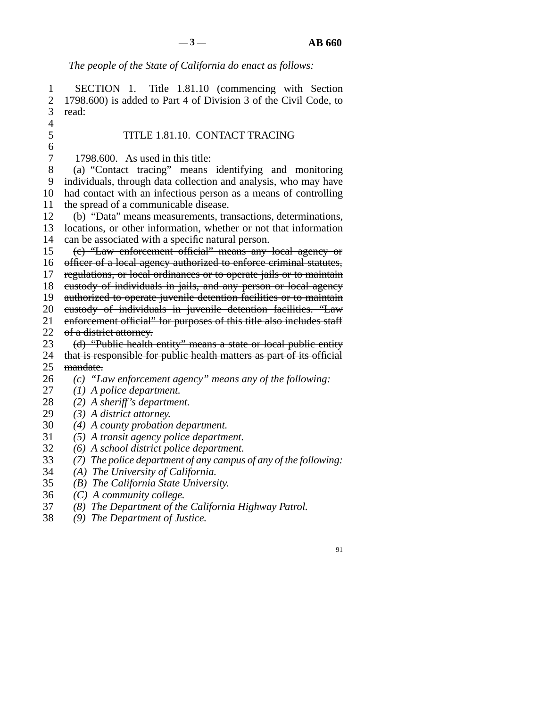91

*The people of the State of California do enact as follows:* 

1 SECTION 1. Title 1.81.10 (commencing with Section 2 1798.600) is added to Part 4 of Division 3 of the Civil Code, to 3 read:  $\overline{4}$ 5 TITLE 1.81.10. CONTACT TRACING  $\frac{6}{7}$  $1798.600$ . As used in this title: 8 (a) "Contact tracing" means identifying and monitoring 9 individuals, through data collection and analysis, who may have 10 had contact with an infectious person as a means of controlling 11 the spread of a communicable disease. 12 (b) "Data" means measurements, transactions, determinations, 13 locations, or other information, whether or not that information 14 can be associated with a specific natural person. 15 (c) "Law enforcement official" means any local agency or 16 officer of a local agency authorized to enforce criminal statutes, 17 regulations, or local ordinances or to operate jails or to maintain 18 custody of individuals in jails, and any person or local agency 19 authorized to operate juvenile detention facilities or to maintain 20 custody of individuals in juvenile detention facilities. "Law 21 enforcement official" for purposes of this title also includes staff 22 of a district attorney.<br>23 (d) "Public health (d) "Public health entity" means a state or local public entity 24 that is responsible for public health matters as part of its official 25 mandate. line 26 *(c) "Law enforcement agency" means any of the following:*  27 (1) *A police department.*  line 28 *(2) A sheriff's department.*  29 (3) A district attorney. line 30 *(4) A county probation department.*  line 31 *(5) A transit agency police department.*  line 32 *(6) A school district police department.*  line 33 *(7) The police department of any campus of any of the following:*  line 34 *(A) The University of California.*  line 35 *(B) The California State University.*  line 36 *(C) A community college.*  line 37 *(8) The Department of the California Highway Patrol.* 

line 38 *(9) The Department of Justice.*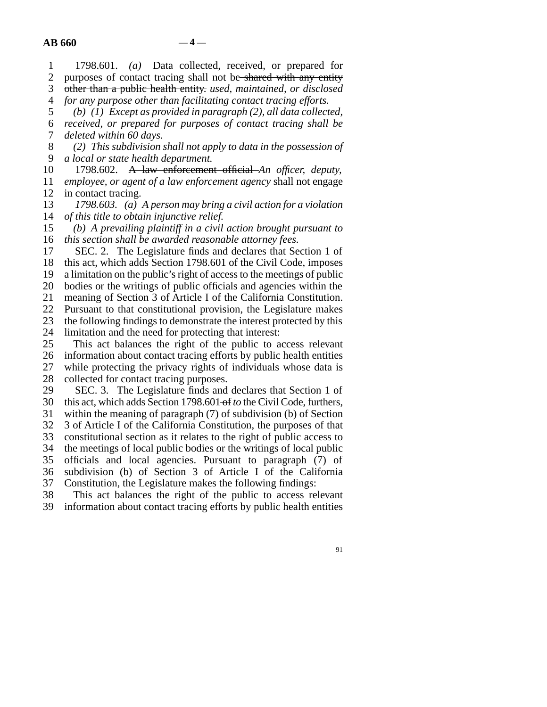| $\mathbf{1}$   | 1798.601. (a) Data collected, received, or prepared for                |
|----------------|------------------------------------------------------------------------|
| $\overline{2}$ | purposes of contact tracing shall not be shared with any entity        |
| 3              | other than a public health entity. used, maintained, or disclosed      |
| 4              | for any purpose other than facilitating contact tracing efforts.       |
| 5              | (b) $(1)$ Except as provided in paragraph $(2)$ , all data collected,  |
| 6              | received, or prepared for purposes of contact tracing shall be         |
| 7              | deleted within 60 days.                                                |
| 8              | (2) This subdivision shall not apply to data in the possession of      |
| 9              | a local or state health department.                                    |
| 10             | 1798.602. A law enforcement official An officer, deputy,               |
| 11             | employee, or agent of a law enforcement agency shall not engage        |
| 12             | in contact tracing.                                                    |
| 13             | 1798.603. (a) A person may bring a civil action for a violation        |
| 14             | of this title to obtain injunctive relief.                             |
| 15             | (b) A prevailing plaintiff in a civil action brought pursuant to       |
| 16             | this section shall be awarded reasonable attorney fees.                |
| 17             | SEC. 2. The Legislature finds and declares that Section 1 of           |
| 18             | this act, which adds Section 1798.601 of the Civil Code, imposes       |
| 19             | a limitation on the public's right of access to the meetings of public |
| 20             | bodies or the writings of public officials and agencies within the     |
| 21             | meaning of Section 3 of Article I of the California Constitution.      |
| 22             | Pursuant to that constitutional provision, the Legislature makes       |
| 23             | the following findings to demonstrate the interest protected by this   |
| 24             | limitation and the need for protecting that interest:                  |
| 25             | This act balances the right of the public to access relevant           |
| 26             | information about contact tracing efforts by public health entities    |
| 27             | while protecting the privacy rights of individuals whose data is       |
| 28             | collected for contact tracing purposes.                                |

29 SEC. 3. The Legislature finds and declares that Section 1 of 30 this act, which adds Section 1798.601 of *to* the Civil Code, furthers,

31 within the meaning of paragraph  $(7)$  of subdivision (b) of Section

32 3 of Article I of the California Constitution, the purposes of that<br>33 constitutional section as it relates to the right of public access to

constitutional section as it relates to the right of public access to

34 the meetings of local public bodies or the writings of local public

35 officials and local agencies. Pursuant to paragraph (7) of 36 subdivision (b) of Section 3 of Article I of the California

37 Constitution, the Legislature makes the following findings:

38 This act balances the right of the public to access relevant<br>39 information about contact tracing efforts by public health entities

information about contact tracing efforts by public health entities

91